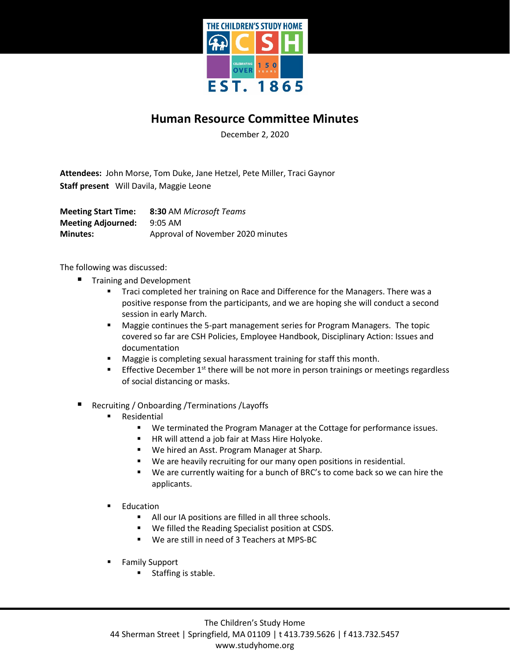

## **Human Resource Committee Minutes**

December 2, 2020

**Attendees:** John Morse, Tom Duke, Jane Hetzel, Pete Miller, Traci Gaynor **Staff present** Will Davila, Maggie Leone

**Meeting Start Time: 8:30** AM *Microsoft Teams* **Meeting Adjourned:** 9:05 AM **Minutes:** Approval of November 2020 minutes

The following was discussed:

- Training and Development
	- **Traci completed her training on Race and Difference for the Managers. There was a** positive response from the participants, and we are hoping she will conduct a second session in early March.
	- Maggie continues the 5-part management series for Program Managers. The topic covered so far are CSH Policies, Employee Handbook, Disciplinary Action: Issues and documentation
	- **Maggie is completing sexual harassment training for staff this month.**
	- Effective December  $1<sup>st</sup>$  there will be not more in person trainings or meetings regardless of social distancing or masks.
- Recruiting / Onboarding /Terminations /Layoffs
	- Residential
		- We terminated the Program Manager at the Cottage for performance issues.
		- **HR will attend a job fair at Mass Hire Holyoke.**
		- We hired an Asst. Program Manager at Sharp.
		- We are heavily recruiting for our many open positions in residential.
		- We are currently waiting for a bunch of BRC's to come back so we can hire the applicants.
	- Education
		- All our IA positions are filled in all three schools.
		- We filled the Reading Specialist position at CSDS.
		- We are still in need of 3 Teachers at MPS-BC
	- Family Support
		- **Staffing is stable.**